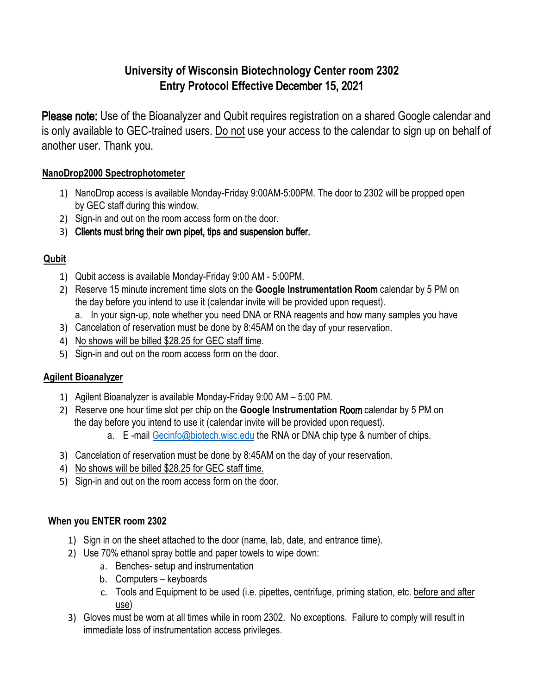# **University of Wisconsin Biotechnology Center room 2302 Entry Protocol Effective** December 15, 2021

Please note: Use of the Bioanalyzer and Qubit requires registration on a shared Google calendar and is only available to GEC-trained users. Do not use your access to the calendar to sign up on behalf of another user. Thank you.

## **NanoDrop2000 Spectrophotometer**

- 1) NanoDrop access is available Monday-Friday 9:00AM-5:00PM. The door to 2302 will be propped open by GEC staff during this window.
- 2) Sign-in and out on the room access form on the door.
- 3) Clients must bring their own pipet, tips and suspension buffer.

## **Qubit**

- 1) Qubit access is available Monday-Friday 9:00 AM 5:00PM.
- 2) Reserve 15 minute increment time slots on the **Google Instrumentation** Room calendar by 5 PM on the day before you intend to use it (calendar invite will be provided upon request).
	- a. In your sign-up, note whether you need DNA or RNA reagents and how many samples you have
- 3) Cancelation of reservation must be done by 8:45AM on the day of your reservation.
- 4) No shows will be billed \$28.25 for GEC staff time.
- 5) Sign-in and out on the room access form on the door.

## **Agilent Bioanal**yz**er**

- 1) Agilent Bioanalyzer is available Monday-Friday 9:00 AM 5:00 PM.
- 2) Reserve one hour time slot per chip on the **Google Instrumentation** Room calendar by 5 PM on the day before you intend to use it (calendar invite will be provided upon request).
	- a. E-mail Gecinfo@biotech.wisc.edu the RNA or DNA chip type & number of chips.
- 3) Cancelation of reservation must be done by 8:45AM on the day of your reservation.
- 4) No shows will be billed \$28.25 for GEC staff time.
- 5) Sign-in and out on the room access form on the door.

#### **When you ENTER room 2302**

- 1) Sign in on the sheet attached to the door (name, lab, date, and entrance time).
- 2) Use 70% ethanol spray bottle and paper towels to wipe down:
	- a. Benches- setup and instrumentation
	- b. Computers keyboards
	- c. Tools and Equipment to be used (i.e. pipettes, centrifuge, priming station, etc. before and after use)
- 3) Gloves must be worn at all times while in room 2302. No exceptions. Failure to comply will result in immediate loss of instrumentation access privileges.